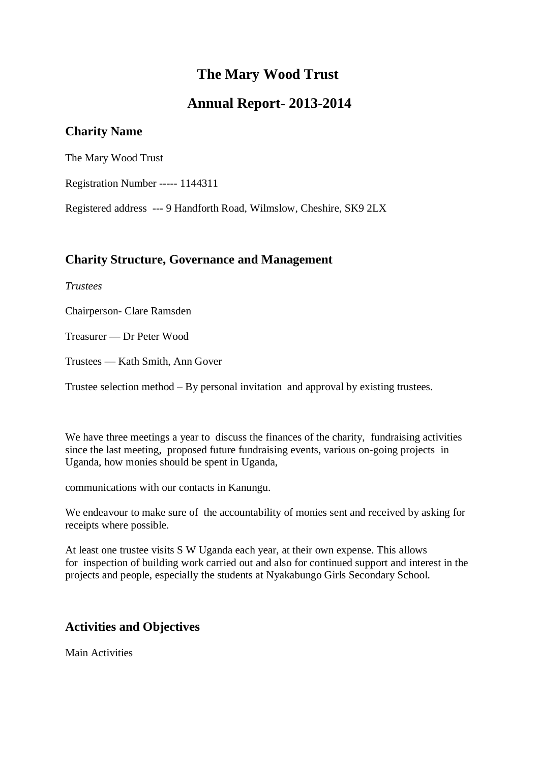# **The Mary Wood Trust**

# **Annual Report- 2013-2014**

# **Charity Name**

The Mary Wood Trust

Registration Number ----- 1144311

Registered address --- 9 Handforth Road, Wilmslow, Cheshire, SK9 2LX

## **Charity Structure, Governance and Management**

*Trustees*

Chairperson- Clare Ramsden

Treasurer — Dr Peter Wood

Trustees — Kath Smith, Ann Gover

Trustee selection method – By personal invitation and approval by existing trustees.

We have three meetings a year to discuss the finances of the charity, fundraising activities since the last meeting, proposed future fundraising events, various on-going projects in Uganda, how monies should be spent in Uganda,

communications with our contacts in Kanungu.

We endeavour to make sure of the accountability of monies sent and received by asking for receipts where possible.

At least one trustee visits S W Uganda each year, at their own expense. This allows for inspection of building work carried out and also for continued support and interest in the projects and people, especially the students at Nyakabungo Girls Secondary School.

# **Activities and Objectives**

Main Activities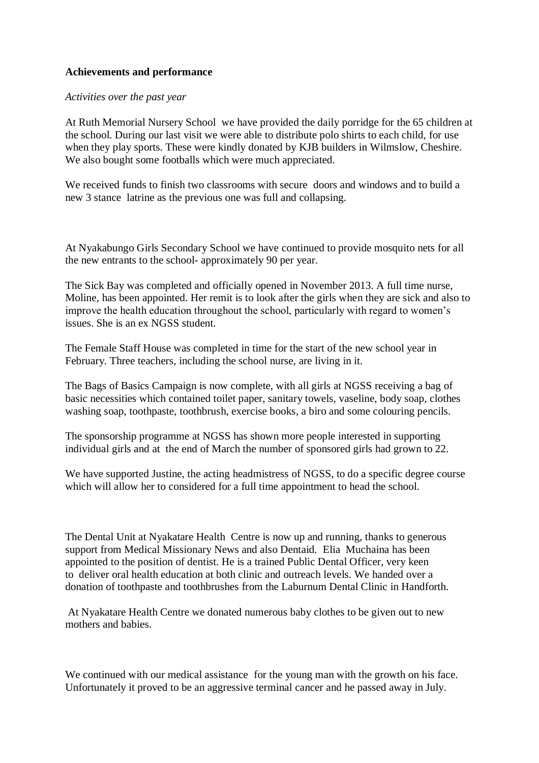### **Achievements and performance**

#### *Activities over the past year*

At Ruth Memorial Nursery School we have provided the daily porridge for the 65 children at the school. During our last visit we were able to distribute polo shirts to each child, for use when they play sports. These were kindly donated by KJB builders in Wilmslow, Cheshire. We also bought some footballs which were much appreciated.

We received funds to finish two classrooms with secure doors and windows and to build a new 3 stance latrine as the previous one was full and collapsing.

At Nyakabungo Girls Secondary School we have continued to provide mosquito nets for all the new entrants to the school- approximately 90 per year.

The Sick Bay was completed and officially opened in November 2013. A full time nurse, Moline, has been appointed. Her remit is to look after the girls when they are sick and also to improve the health education throughout the school, particularly with regard to women's issues. She is an ex NGSS student.

The Female Staff House was completed in time for the start of the new school year in February. Three teachers, including the school nurse, are living in it.

The Bags of Basics Campaign is now complete, with all girls at NGSS receiving a bag of basic necessities which contained toilet paper, sanitary towels, vaseline, body soap, clothes washing soap, toothpaste, toothbrush, exercise books, a biro and some colouring pencils.

The sponsorship programme at NGSS has shown more people interested in supporting individual girls and at the end of March the number of sponsored girls had grown to 22.

We have supported Justine, the acting headmistress of NGSS, to do a specific degree course which will allow her to considered for a full time appointment to head the school.

The Dental Unit at Nyakatare Health Centre is now up and running, thanks to generous support from Medical Missionary News and also Dentaid. Elia Muchaina has been appointed to the position of dentist. He is a trained Public Dental Officer, very keen to deliver oral health education at both clinic and outreach levels. We handed over a donation of toothpaste and toothbrushes from the Laburnum Dental Clinic in Handforth.

At Nyakatare Health Centre we donated numerous baby clothes to be given out to new mothers and babies.

We continued with our medical assistance for the young man with the growth on his face. Unfortunately it proved to be an aggressive terminal cancer and he passed away in July.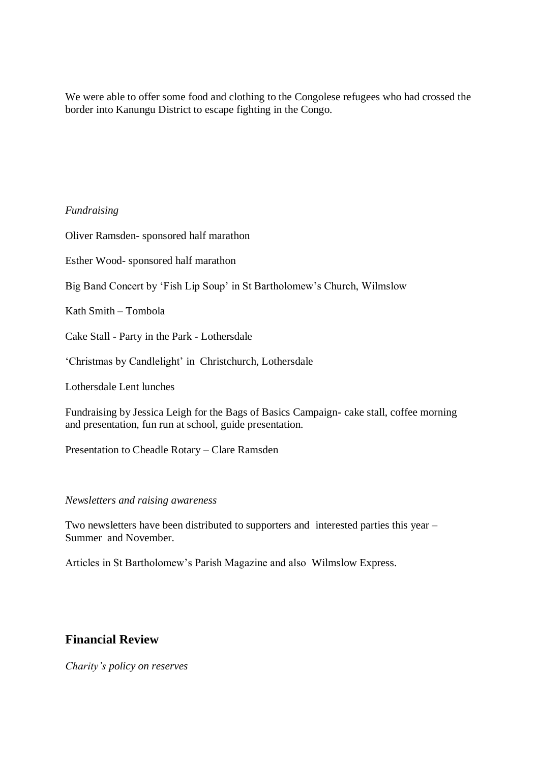We were able to offer some food and clothing to the Congolese refugees who had crossed the border into Kanungu District to escape fighting in the Congo.

### *Fundraising*

Oliver Ramsden- sponsored half marathon

Esther Wood- sponsored half marathon

Big Band Concert by 'Fish Lip Soup' in St Bartholomew's Church, Wilmslow

Kath Smith – Tombola

Cake Stall - Party in the Park - Lothersdale

'Christmas by Candlelight' in Christchurch, Lothersdale

Lothersdale Lent lunches

Fundraising by Jessica Leigh for the Bags of Basics Campaign- cake stall, coffee morning and presentation, fun run at school, guide presentation.

Presentation to Cheadle Rotary – Clare Ramsden

### *Newsletters and raising awareness*

Two newsletters have been distributed to supporters and interested parties this year – Summer and November.

Articles in St Bartholomew's Parish Magazine and also Wilmslow Express.

## **Financial Review**

*Charity's policy on reserves*